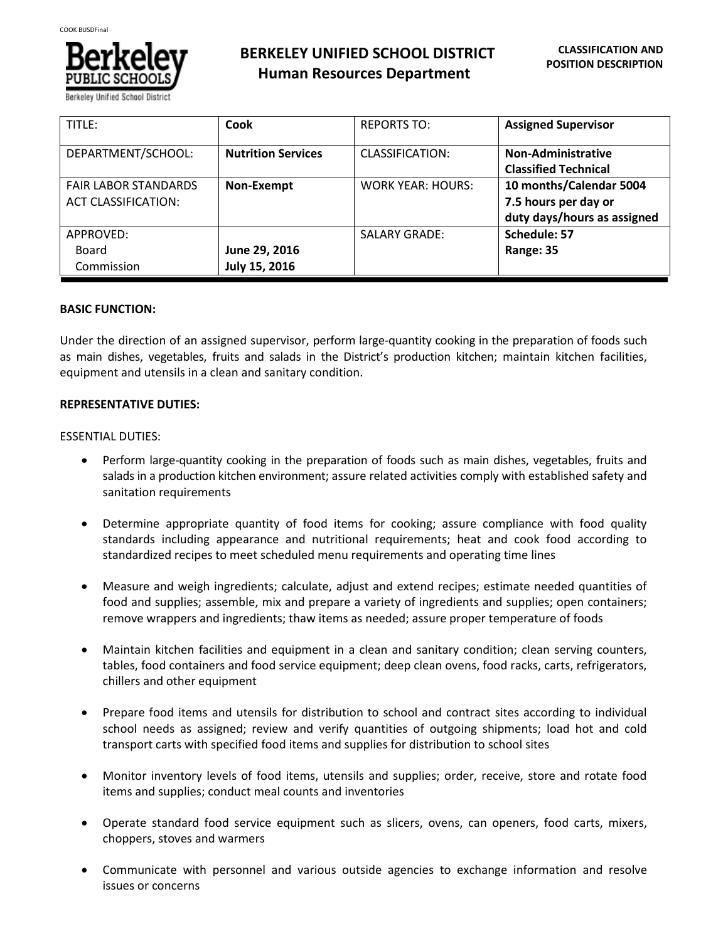

| TITLE:                                                    | Cook                           | <b>REPORTS TO:</b>       | <b>Assigned Supervisor</b>                                                     |
|-----------------------------------------------------------|--------------------------------|--------------------------|--------------------------------------------------------------------------------|
| DEPARTMENT/SCHOOL:                                        | <b>Nutrition Services</b>      | CLASSIFICATION:          | Non-Administrative<br><b>Classified Technical</b>                              |
| <b>FAIR LABOR STANDARDS</b><br><b>ACT CLASSIFICATION:</b> | Non-Exempt                     | <b>WORK YEAR: HOURS:</b> | 10 months/Calendar 5004<br>7.5 hours per day or<br>duty days/hours as assigned |
| APPROVED:<br>Board<br>Commission                          | June 29, 2016<br>July 15, 2016 | <b>SALARY GRADE:</b>     | Schedule: 57<br>Range: 35                                                      |

### **BASIC FUNCTION:**

Under the direction of an assigned supervisor, perform large-quantity cooking in the preparation of foods such as main dishes, vegetables, fruits and salads in the District's production kitchen; maintain kitchen facilities, equipment and utensils in a clean and sanitary condition.

# **REPRESENTATIVE DUTIES:**

### ESSENTIAL DUTIES:

- Perform large-quantity cooking in the preparation of foods such as main dishes, vegetables, fruits and salads in a production kitchen environment; assure related activities comply with established safety and sanitation requirements
- Determine appropriate quantity of food items for cooking; assure compliance with food quality standards including appearance and nutritional requirements; heat and cook food according to standardized recipes to meet scheduled menu requirements and operating time lines
- Measure and weigh ingredients; calculate, adjust and extend recipes; estimate needed quantities of food and supplies; assemble, mix and prepare a variety of ingredients and supplies; open containers; remove wrappers and ingredients; thaw items as needed; assure proper temperature of foods
- Maintain kitchen facilities and equipment in a clean and sanitary condition; clean serving counters, tables, food containers and food service equipment; deep clean ovens, food racks, carts, refrigerators, chillers and other equipment
- Prepare food items and utensils for distribution to school and contract sites according to individual school needs as assigned; review and verify quantities of outgoing shipments; load hot and cold transport carts with specified food items and supplies for distribution to school sites
- Monitor inventory levels of food items, utensils and supplies; order, receive, store and rotate food items and supplies; conduct meal counts and inventories
- Operate standard food service equipment such as slicers, ovens, can openers, food carts, mixers, choppers, stoves and warmers
- Communicate with personnel and various outside agencies to exchange information and resolve issues or concerns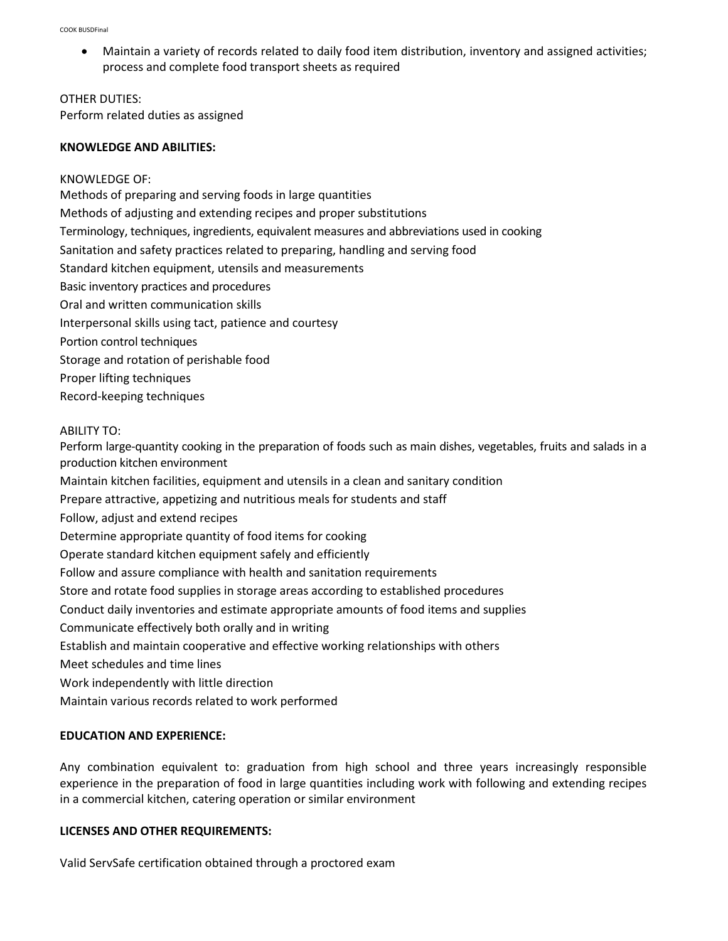Maintain a variety of records related to daily food item distribution, inventory and assigned activities; process and complete food transport sheets as required

OTHER DUTIES: Perform related duties as assigned

### **KNOWLEDGE AND ABILITIES:**

KNOWLEDGE OF: Methods of preparing and serving foods in large quantities Methods of adjusting and extending recipes and proper substitutions Terminology, techniques, ingredients, equivalent measures and abbreviations used in cooking Sanitation and safety practices related to preparing, handling and serving food Standard kitchen equipment, utensils and measurements Basic inventory practices and procedures Oral and written communication skills Interpersonal skills using tact, patience and courtesy Portion control techniques Storage and rotation of perishable food Proper lifting techniques

Record-keeping techniques

# ABILITY TO:

Perform large-quantity cooking in the preparation of foods such as main dishes, vegetables, fruits and salads in a production kitchen environment

Maintain kitchen facilities, equipment and utensils in a clean and sanitary condition

Prepare attractive, appetizing and nutritious meals for students and staff

Follow, adjust and extend recipes

Determine appropriate quantity of food items for cooking

Operate standard kitchen equipment safely and efficiently

Follow and assure compliance with health and sanitation requirements

Store and rotate food supplies in storage areas according to established procedures

Conduct daily inventories and estimate appropriate amounts of food items and supplies

Communicate effectively both orally and in writing

Establish and maintain cooperative and effective working relationships with others

Meet schedules and time lines

Work independently with little direction

Maintain various records related to work performed

# **EDUCATION AND EXPERIENCE:**

Any combination equivalent to: graduation from high school and three years increasingly responsible experience in the preparation of food in large quantities including work with following and extending recipes in a commercial kitchen, catering operation or similar environment

# **LICENSES AND OTHER REQUIREMENTS:**

Valid ServSafe certification obtained through a proctored exam